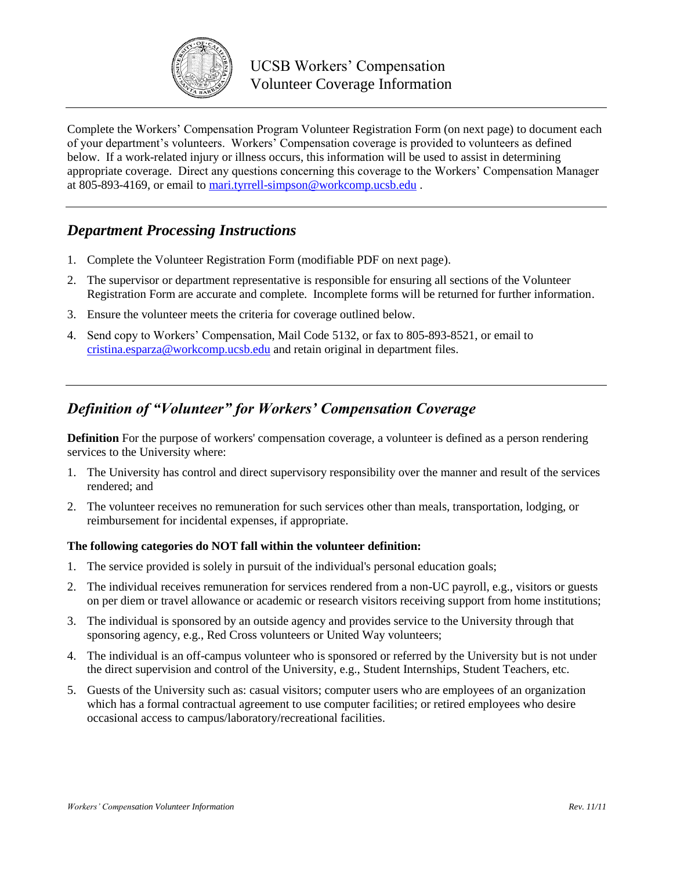

Complete the Workers' Compensation Program Volunteer Registration Form (on next page) to document each of your department's volunteers. Workers' Compensation coverage is provided to volunteers as defined below. If a work-related injury or illness occurs, this information will be used to assist in determining appropriate coverage. Direct any questions concerning this coverage to the Workers' Compensation Manager at 805-893-4169, or email to mari.tyrrell-simpson@workcomp.ucsb.edu .

## *Department Processing Instructions*

- 1. Complete the Volunteer Registration Form (modifiable PDF on next page).
- 2. The supervisor or department representative is responsible for ensuring all sections of the Volunteer Registration Form are accurate and complete. Incomplete forms will be returned for further information.
- 3. Ensure the volunteer meets the criteria for coverage outlined below.
- 4. Send copy to Workers' Compensation, Mail Code 5132, or fax to 805-893-8521, or email to cristina.esparza@workcomp.ucsb.edu and retain original in department files.

## *Definition of "Volunteer" for Workers' Compensation Coverage*

**Definition** For the purpose of workers' compensation coverage, a volunteer is defined as a person rendering services to the University where:

- 1. The University has control and direct supervisory responsibility over the manner and result of the services rendered; and
- 2. The volunteer receives no remuneration for such services other than meals, transportation, lodging, or reimbursement for incidental expenses, if appropriate.

## **The following categories do NOT fall within the volunteer definition:**

- 1. The service provided is solely in pursuit of the individual's personal education goals;
- 2. The individual receives remuneration for services rendered from a non-UC payroll, e.g., visitors or guests on per diem or travel allowance or academic or research visitors receiving support from home institutions;
- 3. The individual is sponsored by an outside agency and provides service to the University through that sponsoring agency, e.g., Red Cross volunteers or United Way volunteers;
- 4. The individual is an off-campus volunteer who is sponsored or referred by the University but is not under the direct supervision and control of the University, e.g., Student Internships, Student Teachers, etc.
- 5. Guests of the University such as: casual visitors; computer users who are employees of an organization which has a formal contractual agreement to use computer facilities; or retired employees who desire occasional access to campus/laboratory/recreational facilities.